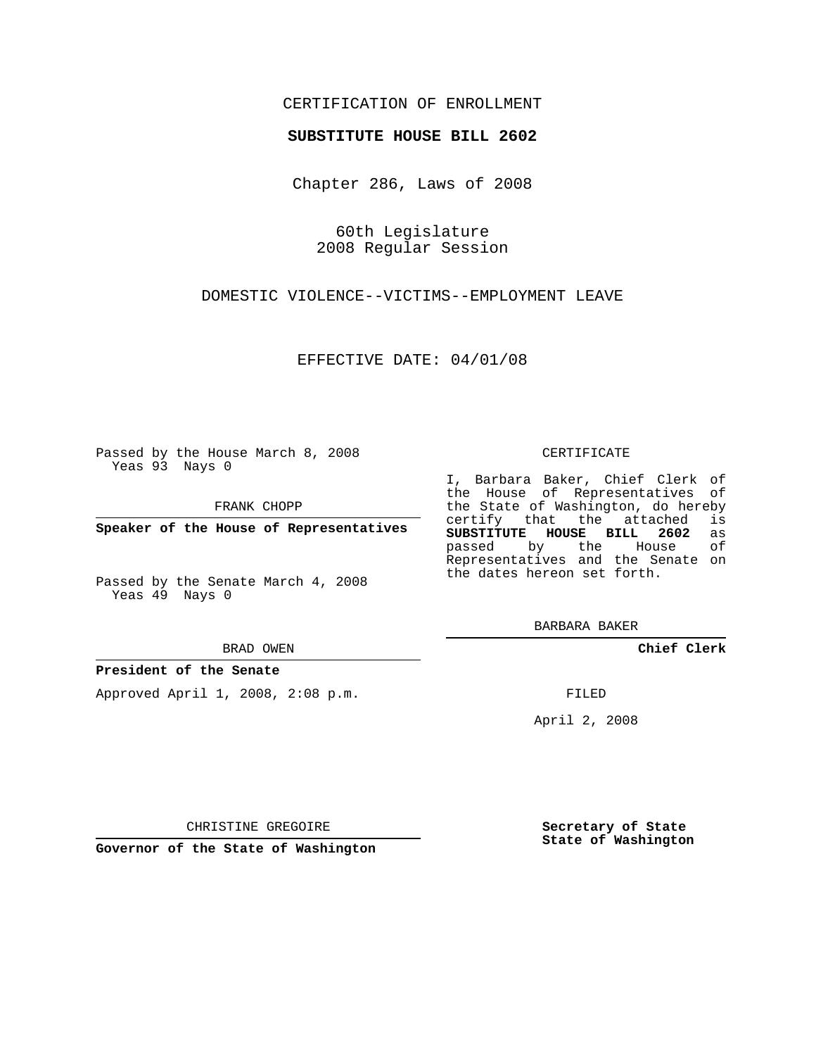# CERTIFICATION OF ENROLLMENT

### **SUBSTITUTE HOUSE BILL 2602**

Chapter 286, Laws of 2008

60th Legislature 2008 Regular Session

DOMESTIC VIOLENCE--VICTIMS--EMPLOYMENT LEAVE

EFFECTIVE DATE: 04/01/08

Passed by the House March 8, 2008 Yeas 93 Nays 0

FRANK CHOPP

**Speaker of the House of Representatives**

Passed by the Senate March 4, 2008 Yeas 49 Nays 0

#### BRAD OWEN

### **President of the Senate**

Approved April 1, 2008, 2:08 p.m.

#### CERTIFICATE

I, Barbara Baker, Chief Clerk of the House of Representatives of the State of Washington, do hereby<br>certify that the attached is certify that the attached **SUBSTITUTE HOUSE BILL 2602** as passed by the House Representatives and the Senate on the dates hereon set forth.

BARBARA BAKER

**Chief Clerk**

FILED

April 2, 2008

CHRISTINE GREGOIRE

**Governor of the State of Washington**

**Secretary of State State of Washington**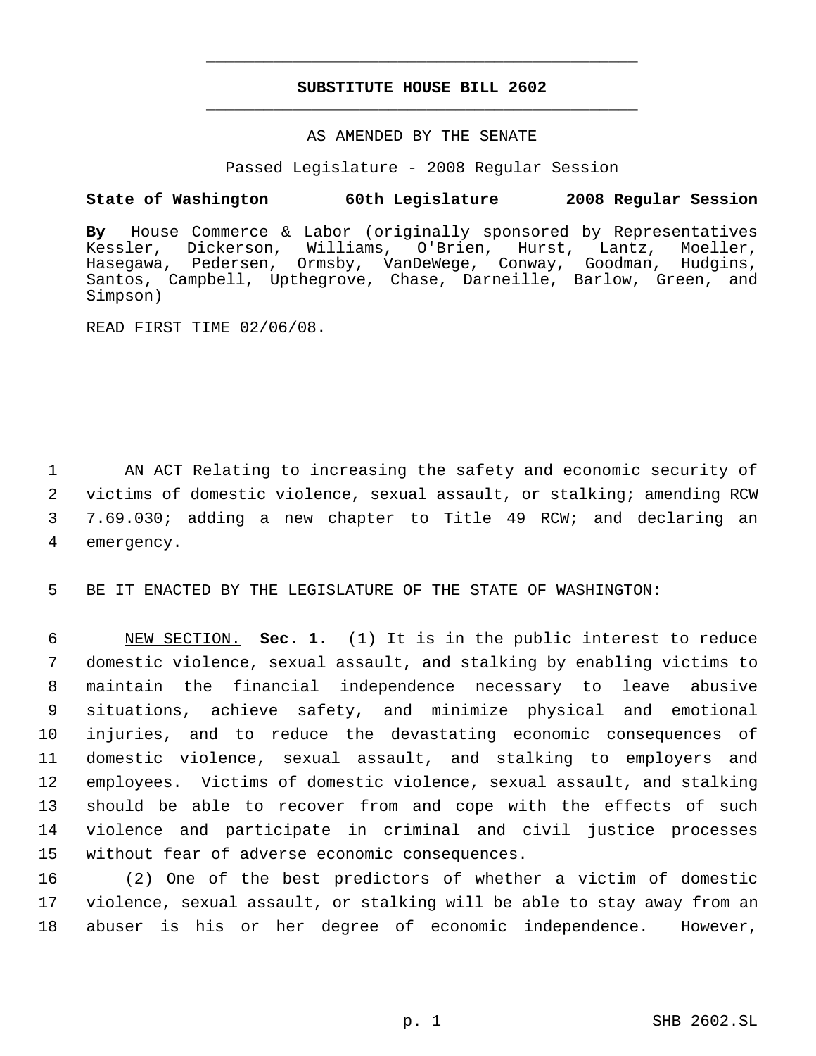# **SUBSTITUTE HOUSE BILL 2602** \_\_\_\_\_\_\_\_\_\_\_\_\_\_\_\_\_\_\_\_\_\_\_\_\_\_\_\_\_\_\_\_\_\_\_\_\_\_\_\_\_\_\_\_\_

\_\_\_\_\_\_\_\_\_\_\_\_\_\_\_\_\_\_\_\_\_\_\_\_\_\_\_\_\_\_\_\_\_\_\_\_\_\_\_\_\_\_\_\_\_

### AS AMENDED BY THE SENATE

Passed Legislature - 2008 Regular Session

# **State of Washington 60th Legislature 2008 Regular Session**

**By** House Commerce & Labor (originally sponsored by Representatives Kessler, Dickerson, Williams, O'Brien, Hurst, Lantz, Moeller, Hasegawa, Pedersen, Ormsby, VanDeWege, Conway, Goodman, Hudgins, Santos, Campbell, Upthegrove, Chase, Darneille, Barlow, Green, and Simpson)

READ FIRST TIME 02/06/08.

 AN ACT Relating to increasing the safety and economic security of victims of domestic violence, sexual assault, or stalking; amending RCW 7.69.030; adding a new chapter to Title 49 RCW; and declaring an emergency.

5 BE IT ENACTED BY THE LEGISLATURE OF THE STATE OF WASHINGTON:

 NEW SECTION. **Sec. 1.** (1) It is in the public interest to reduce domestic violence, sexual assault, and stalking by enabling victims to maintain the financial independence necessary to leave abusive situations, achieve safety, and minimize physical and emotional injuries, and to reduce the devastating economic consequences of domestic violence, sexual assault, and stalking to employers and employees. Victims of domestic violence, sexual assault, and stalking should be able to recover from and cope with the effects of such violence and participate in criminal and civil justice processes without fear of adverse economic consequences.

16 (2) One of the best predictors of whether a victim of domestic 17 violence, sexual assault, or stalking will be able to stay away from an 18 abuser is his or her degree of economic independence. However,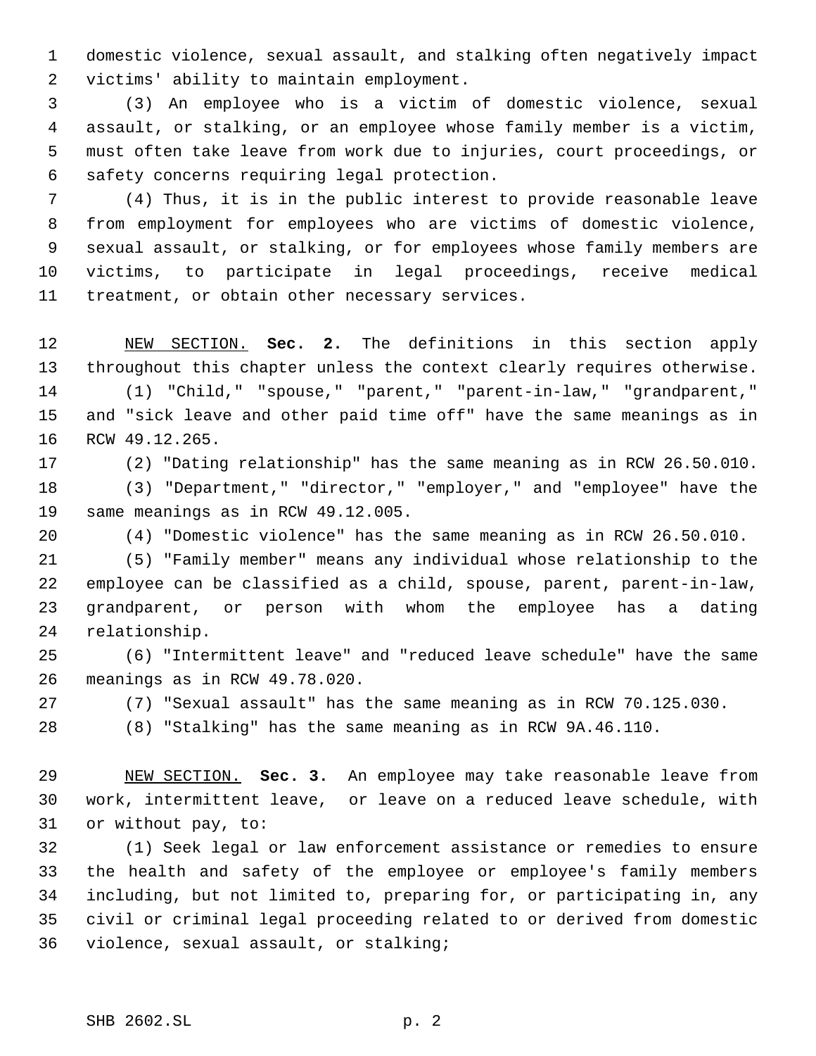domestic violence, sexual assault, and stalking often negatively impact victims' ability to maintain employment.

 (3) An employee who is a victim of domestic violence, sexual assault, or stalking, or an employee whose family member is a victim, must often take leave from work due to injuries, court proceedings, or safety concerns requiring legal protection.

 (4) Thus, it is in the public interest to provide reasonable leave from employment for employees who are victims of domestic violence, sexual assault, or stalking, or for employees whose family members are victims, to participate in legal proceedings, receive medical treatment, or obtain other necessary services.

 NEW SECTION. **Sec. 2.** The definitions in this section apply throughout this chapter unless the context clearly requires otherwise. (1) "Child," "spouse," "parent," "parent-in-law," "grandparent," and "sick leave and other paid time off" have the same meanings as in RCW 49.12.265.

(2) "Dating relationship" has the same meaning as in RCW 26.50.010.

 (3) "Department," "director," "employer," and "employee" have the same meanings as in RCW 49.12.005.

(4) "Domestic violence" has the same meaning as in RCW 26.50.010.

 (5) "Family member" means any individual whose relationship to the employee can be classified as a child, spouse, parent, parent-in-law, grandparent, or person with whom the employee has a dating relationship.

 (6) "Intermittent leave" and "reduced leave schedule" have the same meanings as in RCW 49.78.020.

(7) "Sexual assault" has the same meaning as in RCW 70.125.030.

(8) "Stalking" has the same meaning as in RCW 9A.46.110.

 NEW SECTION. **Sec. 3.** An employee may take reasonable leave from work, intermittent leave, or leave on a reduced leave schedule, with or without pay, to:

 (1) Seek legal or law enforcement assistance or remedies to ensure the health and safety of the employee or employee's family members including, but not limited to, preparing for, or participating in, any civil or criminal legal proceeding related to or derived from domestic violence, sexual assault, or stalking;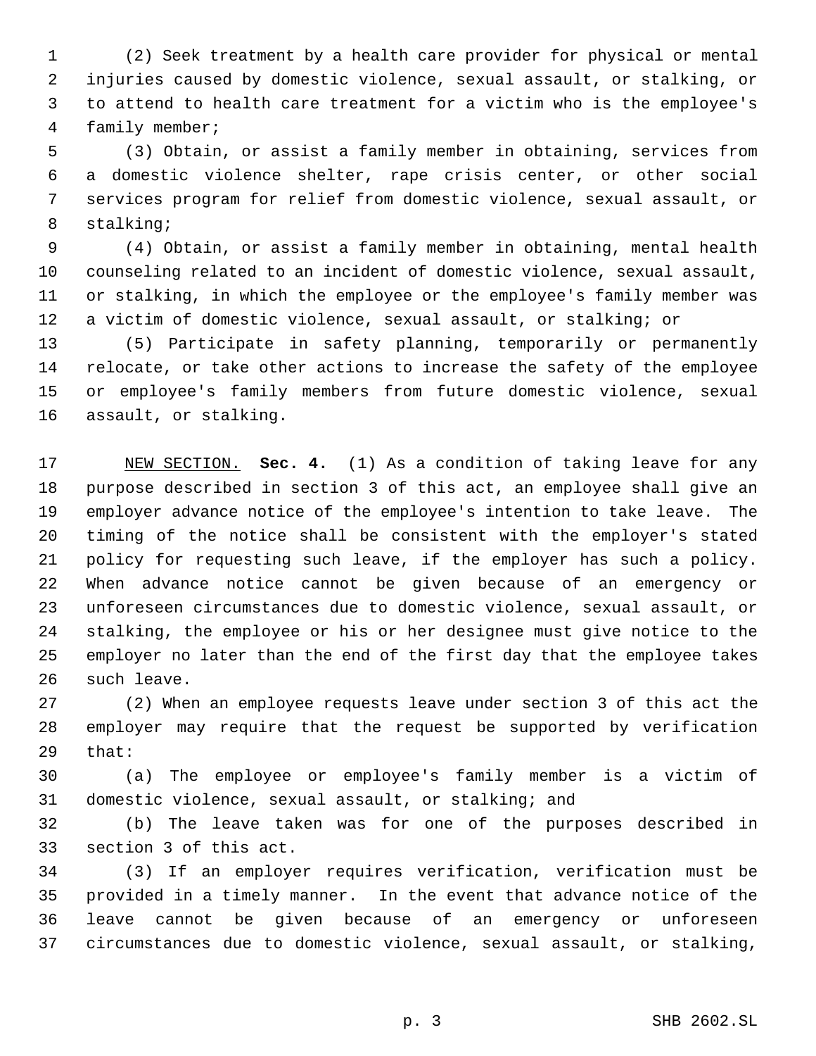(2) Seek treatment by a health care provider for physical or mental injuries caused by domestic violence, sexual assault, or stalking, or to attend to health care treatment for a victim who is the employee's family member;

 (3) Obtain, or assist a family member in obtaining, services from a domestic violence shelter, rape crisis center, or other social services program for relief from domestic violence, sexual assault, or stalking;

 (4) Obtain, or assist a family member in obtaining, mental health counseling related to an incident of domestic violence, sexual assault, or stalking, in which the employee or the employee's family member was a victim of domestic violence, sexual assault, or stalking; or

 (5) Participate in safety planning, temporarily or permanently relocate, or take other actions to increase the safety of the employee or employee's family members from future domestic violence, sexual assault, or stalking.

 NEW SECTION. **Sec. 4.** (1) As a condition of taking leave for any purpose described in section 3 of this act, an employee shall give an employer advance notice of the employee's intention to take leave. The timing of the notice shall be consistent with the employer's stated policy for requesting such leave, if the employer has such a policy. When advance notice cannot be given because of an emergency or unforeseen circumstances due to domestic violence, sexual assault, or stalking, the employee or his or her designee must give notice to the employer no later than the end of the first day that the employee takes such leave.

 (2) When an employee requests leave under section 3 of this act the employer may require that the request be supported by verification that:

 (a) The employee or employee's family member is a victim of domestic violence, sexual assault, or stalking; and

 (b) The leave taken was for one of the purposes described in section 3 of this act.

 (3) If an employer requires verification, verification must be provided in a timely manner. In the event that advance notice of the leave cannot be given because of an emergency or unforeseen circumstances due to domestic violence, sexual assault, or stalking,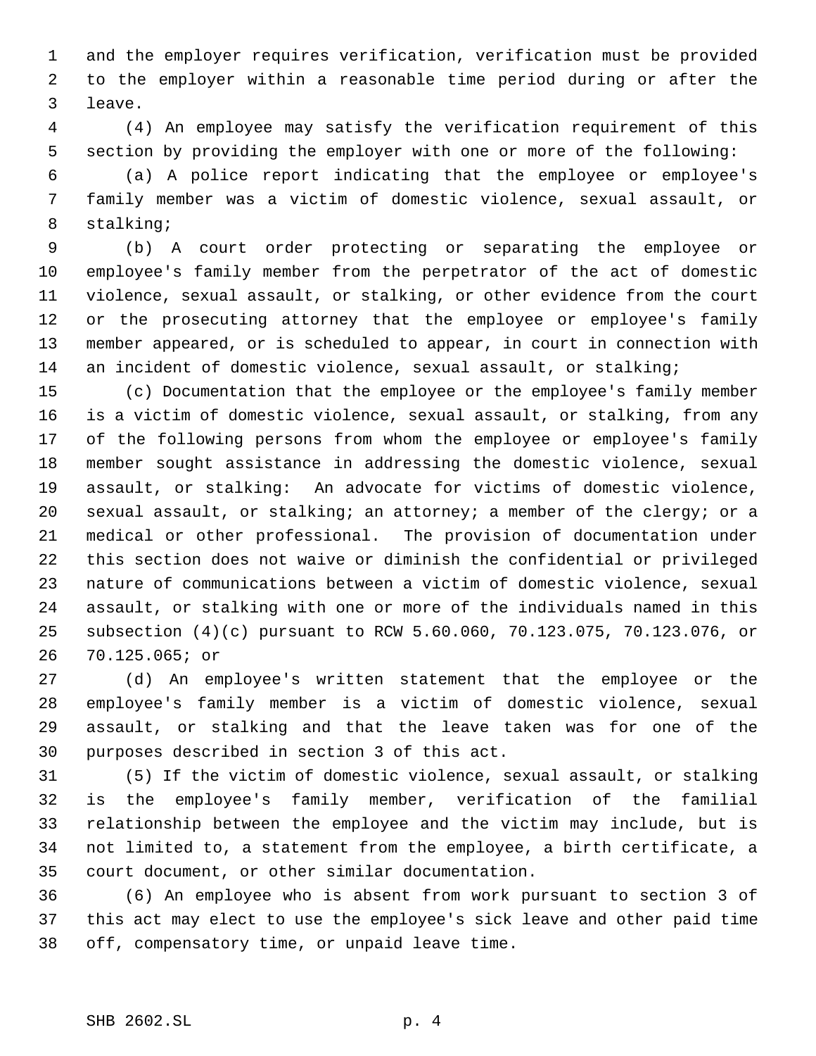and the employer requires verification, verification must be provided to the employer within a reasonable time period during or after the leave.

 (4) An employee may satisfy the verification requirement of this section by providing the employer with one or more of the following:

 (a) A police report indicating that the employee or employee's family member was a victim of domestic violence, sexual assault, or stalking;

 (b) A court order protecting or separating the employee or employee's family member from the perpetrator of the act of domestic violence, sexual assault, or stalking, or other evidence from the court 12 or the prosecuting attorney that the employee or employee's family member appeared, or is scheduled to appear, in court in connection with 14 an incident of domestic violence, sexual assault, or stalking;

 (c) Documentation that the employee or the employee's family member is a victim of domestic violence, sexual assault, or stalking, from any of the following persons from whom the employee or employee's family member sought assistance in addressing the domestic violence, sexual assault, or stalking: An advocate for victims of domestic violence, sexual assault, or stalking; an attorney; a member of the clergy; or a medical or other professional. The provision of documentation under this section does not waive or diminish the confidential or privileged nature of communications between a victim of domestic violence, sexual assault, or stalking with one or more of the individuals named in this subsection (4)(c) pursuant to RCW 5.60.060, 70.123.075, 70.123.076, or 70.125.065; or

 (d) An employee's written statement that the employee or the employee's family member is a victim of domestic violence, sexual assault, or stalking and that the leave taken was for one of the purposes described in section 3 of this act.

 (5) If the victim of domestic violence, sexual assault, or stalking is the employee's family member, verification of the familial relationship between the employee and the victim may include, but is not limited to, a statement from the employee, a birth certificate, a court document, or other similar documentation.

 (6) An employee who is absent from work pursuant to section 3 of this act may elect to use the employee's sick leave and other paid time off, compensatory time, or unpaid leave time.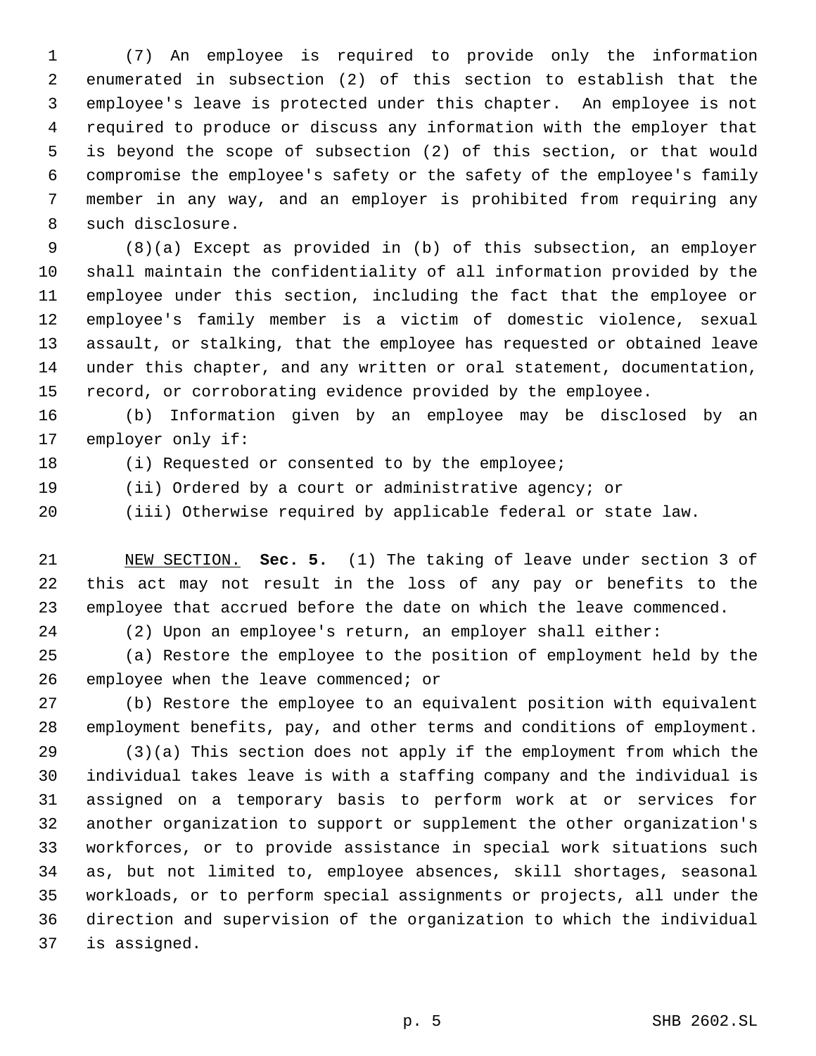(7) An employee is required to provide only the information enumerated in subsection (2) of this section to establish that the employee's leave is protected under this chapter. An employee is not required to produce or discuss any information with the employer that is beyond the scope of subsection (2) of this section, or that would compromise the employee's safety or the safety of the employee's family member in any way, and an employer is prohibited from requiring any such disclosure.

 (8)(a) Except as provided in (b) of this subsection, an employer shall maintain the confidentiality of all information provided by the employee under this section, including the fact that the employee or employee's family member is a victim of domestic violence, sexual assault, or stalking, that the employee has requested or obtained leave under this chapter, and any written or oral statement, documentation, record, or corroborating evidence provided by the employee.

 (b) Information given by an employee may be disclosed by an employer only if:

(i) Requested or consented to by the employee;

(ii) Ordered by a court or administrative agency; or

(iii) Otherwise required by applicable federal or state law.

 NEW SECTION. **Sec. 5.** (1) The taking of leave under section 3 of this act may not result in the loss of any pay or benefits to the employee that accrued before the date on which the leave commenced.

(2) Upon an employee's return, an employer shall either:

 (a) Restore the employee to the position of employment held by the employee when the leave commenced; or

 (b) Restore the employee to an equivalent position with equivalent employment benefits, pay, and other terms and conditions of employment.

 (3)(a) This section does not apply if the employment from which the individual takes leave is with a staffing company and the individual is assigned on a temporary basis to perform work at or services for another organization to support or supplement the other organization's workforces, or to provide assistance in special work situations such as, but not limited to, employee absences, skill shortages, seasonal workloads, or to perform special assignments or projects, all under the direction and supervision of the organization to which the individual is assigned.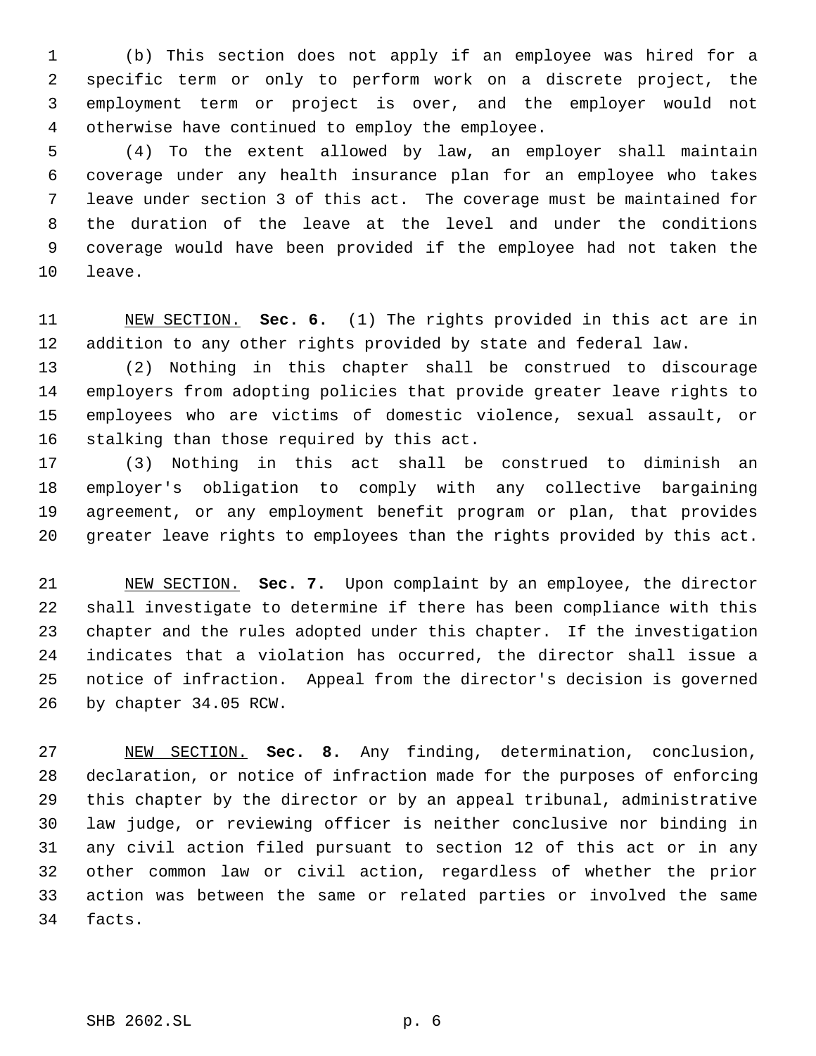(b) This section does not apply if an employee was hired for a specific term or only to perform work on a discrete project, the employment term or project is over, and the employer would not otherwise have continued to employ the employee.

 (4) To the extent allowed by law, an employer shall maintain coverage under any health insurance plan for an employee who takes leave under section 3 of this act. The coverage must be maintained for the duration of the leave at the level and under the conditions coverage would have been provided if the employee had not taken the leave.

 NEW SECTION. **Sec. 6.** (1) The rights provided in this act are in addition to any other rights provided by state and federal law.

 (2) Nothing in this chapter shall be construed to discourage employers from adopting policies that provide greater leave rights to employees who are victims of domestic violence, sexual assault, or stalking than those required by this act.

 (3) Nothing in this act shall be construed to diminish an employer's obligation to comply with any collective bargaining agreement, or any employment benefit program or plan, that provides greater leave rights to employees than the rights provided by this act.

 NEW SECTION. **Sec. 7.** Upon complaint by an employee, the director shall investigate to determine if there has been compliance with this chapter and the rules adopted under this chapter. If the investigation indicates that a violation has occurred, the director shall issue a notice of infraction. Appeal from the director's decision is governed by chapter 34.05 RCW.

 NEW SECTION. **Sec. 8.** Any finding, determination, conclusion, declaration, or notice of infraction made for the purposes of enforcing this chapter by the director or by an appeal tribunal, administrative law judge, or reviewing officer is neither conclusive nor binding in any civil action filed pursuant to section 12 of this act or in any other common law or civil action, regardless of whether the prior action was between the same or related parties or involved the same facts.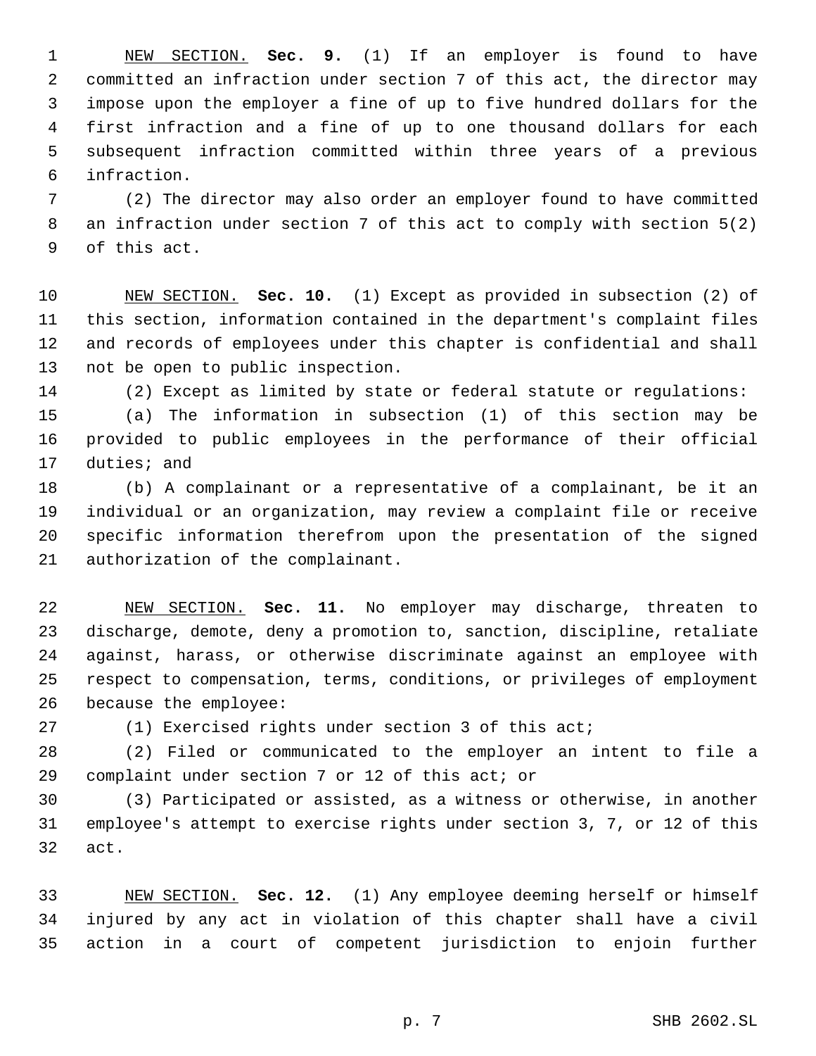NEW SECTION. **Sec. 9.** (1) If an employer is found to have committed an infraction under section 7 of this act, the director may impose upon the employer a fine of up to five hundred dollars for the first infraction and a fine of up to one thousand dollars for each subsequent infraction committed within three years of a previous infraction.

 (2) The director may also order an employer found to have committed an infraction under section 7 of this act to comply with section 5(2) of this act.

 NEW SECTION. **Sec. 10.** (1) Except as provided in subsection (2) of this section, information contained in the department's complaint files and records of employees under this chapter is confidential and shall not be open to public inspection.

(2) Except as limited by state or federal statute or regulations:

 (a) The information in subsection (1) of this section may be provided to public employees in the performance of their official duties; and

 (b) A complainant or a representative of a complainant, be it an individual or an organization, may review a complaint file or receive specific information therefrom upon the presentation of the signed authorization of the complainant.

 NEW SECTION. **Sec. 11.** No employer may discharge, threaten to discharge, demote, deny a promotion to, sanction, discipline, retaliate against, harass, or otherwise discriminate against an employee with respect to compensation, terms, conditions, or privileges of employment because the employee:

(1) Exercised rights under section 3 of this act;

 (2) Filed or communicated to the employer an intent to file a complaint under section 7 or 12 of this act; or

 (3) Participated or assisted, as a witness or otherwise, in another employee's attempt to exercise rights under section 3, 7, or 12 of this act.

 NEW SECTION. **Sec. 12.** (1) Any employee deeming herself or himself injured by any act in violation of this chapter shall have a civil action in a court of competent jurisdiction to enjoin further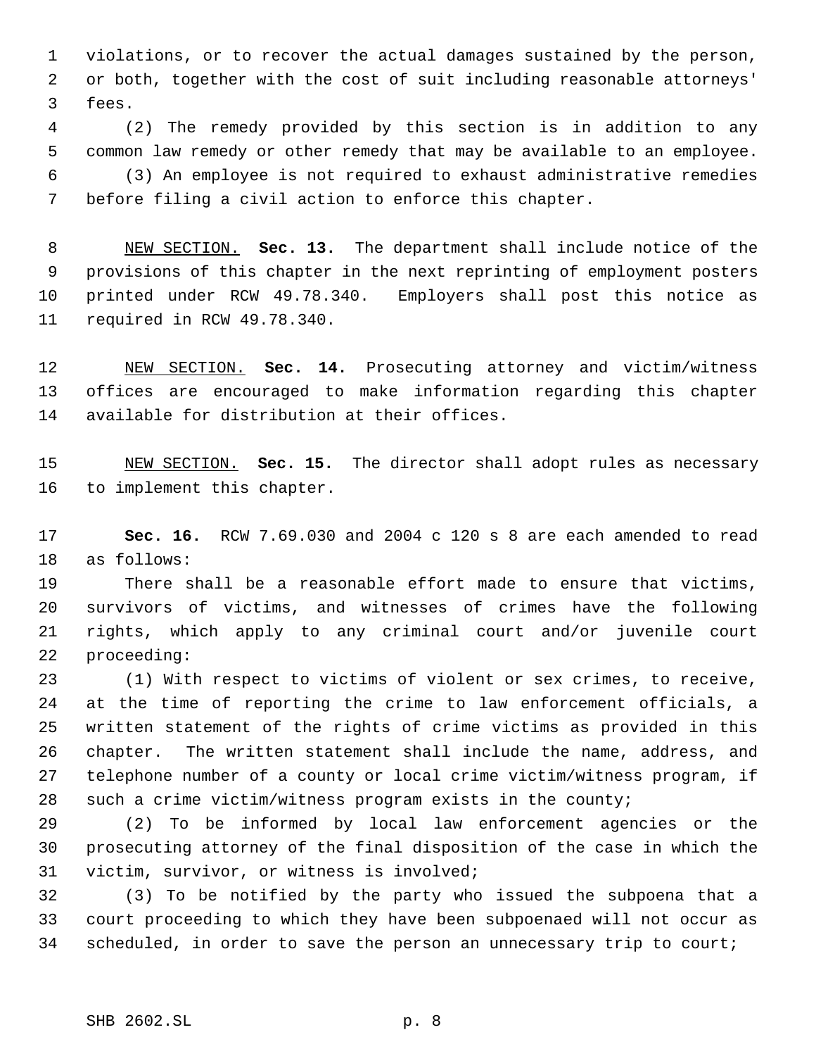violations, or to recover the actual damages sustained by the person, or both, together with the cost of suit including reasonable attorneys' fees.

 (2) The remedy provided by this section is in addition to any common law remedy or other remedy that may be available to an employee. (3) An employee is not required to exhaust administrative remedies before filing a civil action to enforce this chapter.

 NEW SECTION. **Sec. 13.** The department shall include notice of the provisions of this chapter in the next reprinting of employment posters printed under RCW 49.78.340. Employers shall post this notice as required in RCW 49.78.340.

 NEW SECTION. **Sec. 14.** Prosecuting attorney and victim/witness offices are encouraged to make information regarding this chapter available for distribution at their offices.

 NEW SECTION. **Sec. 15.** The director shall adopt rules as necessary to implement this chapter.

 **Sec. 16.** RCW 7.69.030 and 2004 c 120 s 8 are each amended to read as follows:

 There shall be a reasonable effort made to ensure that victims, survivors of victims, and witnesses of crimes have the following rights, which apply to any criminal court and/or juvenile court proceeding:

 (1) With respect to victims of violent or sex crimes, to receive, at the time of reporting the crime to law enforcement officials, a written statement of the rights of crime victims as provided in this chapter. The written statement shall include the name, address, and telephone number of a county or local crime victim/witness program, if such a crime victim/witness program exists in the county;

 (2) To be informed by local law enforcement agencies or the prosecuting attorney of the final disposition of the case in which the victim, survivor, or witness is involved;

 (3) To be notified by the party who issued the subpoena that a court proceeding to which they have been subpoenaed will not occur as 34 scheduled, in order to save the person an unnecessary trip to court;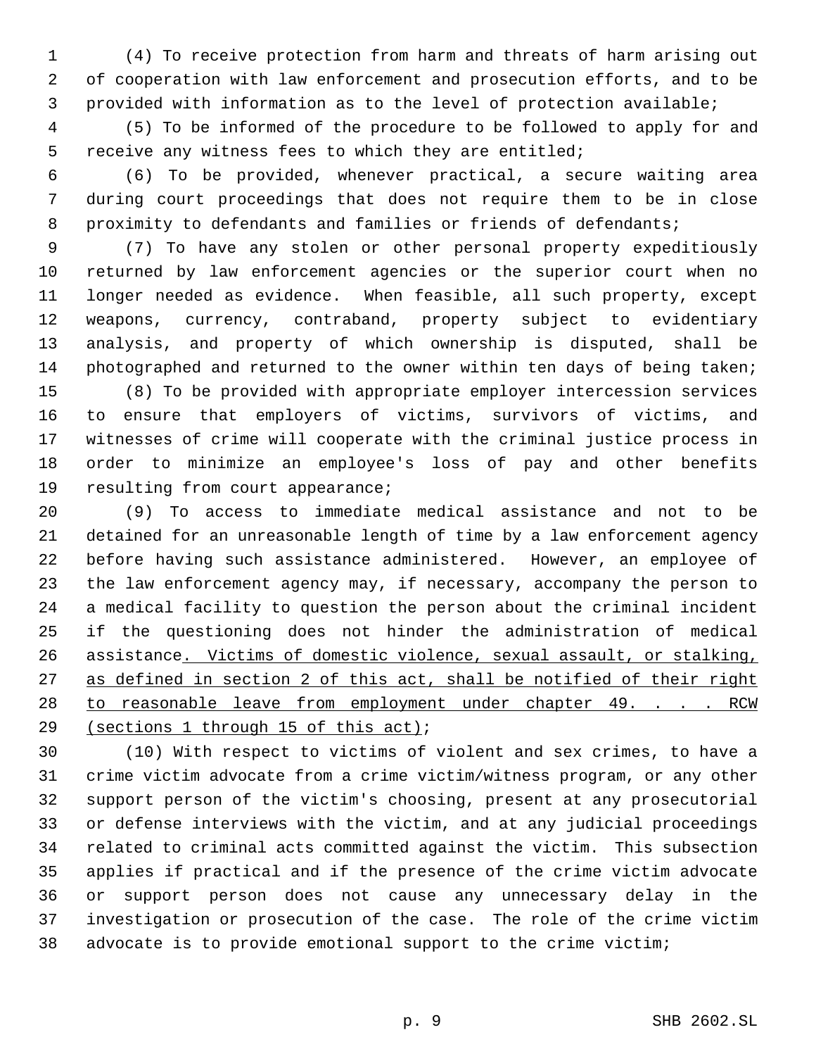(4) To receive protection from harm and threats of harm arising out of cooperation with law enforcement and prosecution efforts, and to be provided with information as to the level of protection available;

 (5) To be informed of the procedure to be followed to apply for and receive any witness fees to which they are entitled;

 (6) To be provided, whenever practical, a secure waiting area during court proceedings that does not require them to be in close 8 proximity to defendants and families or friends of defendants;

 (7) To have any stolen or other personal property expeditiously returned by law enforcement agencies or the superior court when no longer needed as evidence. When feasible, all such property, except weapons, currency, contraband, property subject to evidentiary analysis, and property of which ownership is disputed, shall be 14 photographed and returned to the owner within ten days of being taken;

 (8) To be provided with appropriate employer intercession services to ensure that employers of victims, survivors of victims, and witnesses of crime will cooperate with the criminal justice process in order to minimize an employee's loss of pay and other benefits resulting from court appearance;

 (9) To access to immediate medical assistance and not to be detained for an unreasonable length of time by a law enforcement agency before having such assistance administered. However, an employee of the law enforcement agency may, if necessary, accompany the person to a medical facility to question the person about the criminal incident if the questioning does not hinder the administration of medical assistance. Victims of domestic violence, sexual assault, or stalking, as defined in section 2 of this act, shall be notified of their right 28 to reasonable leave from employment under chapter 49. . . . RCW (sections 1 through 15 of this act);

 (10) With respect to victims of violent and sex crimes, to have a crime victim advocate from a crime victim/witness program, or any other support person of the victim's choosing, present at any prosecutorial or defense interviews with the victim, and at any judicial proceedings related to criminal acts committed against the victim. This subsection applies if practical and if the presence of the crime victim advocate or support person does not cause any unnecessary delay in the investigation or prosecution of the case. The role of the crime victim advocate is to provide emotional support to the crime victim;